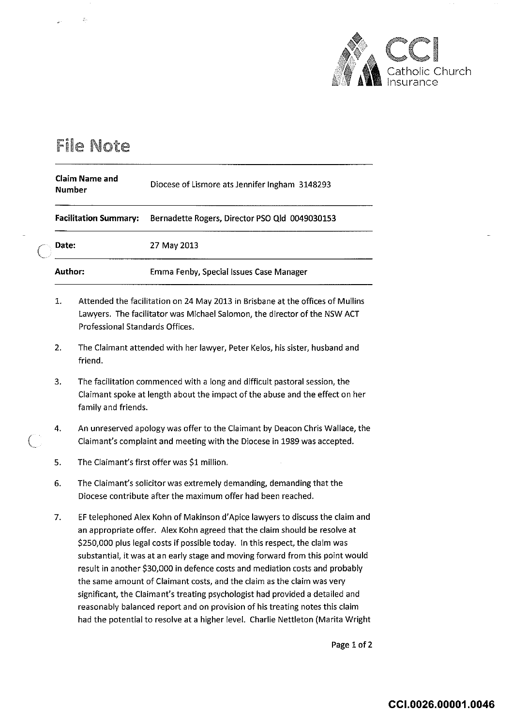

## File Note

| <b>Claim Name and</b><br><b>Number</b> | Diocese of Lismore ats Jennifer Ingham 3148293 |
|----------------------------------------|------------------------------------------------|
| <b>Facilitation Summary:</b>           | Bernadette Rogers, Director PSO Qld 0049030153 |
| Date:                                  | 27 May 2013                                    |
| Author:                                | Emma Fenby, Special Issues Case Manager        |

- 1. Attended the facilitation on 24 May 2013 in Brisbane at the offices of Mullins Lawyers. The facilitator was Michael Salomon, the director of the NSW ACT Professional Standards Offices.
- 2. The Claimant attended with her lawyer, Peter Kelos, his sister, husband and friend.
- 3. The facilitation commenced with a long and difficult pastoral session, the Claimant spoke at length about the impact of the abuse and the effect on her family and friends.
- 4. An unreserved apology was offer to the Claimant by Deacon Chris Wallace, the Claimant's complaint and meeting with the Diocese in 1989 was accepted.
- 5. The Claimant's first offer was \$1 million.
- 6. The Claimant's solicitor was extremely demanding, demanding that the Diocese contribute after the maximum offer had been reached.
- 7. EF telephoned Alex Kahn of Makinson d'Apice lawyers to discuss the claim and an appropriate offer. Alex Kohn agreed that the claim should be resolve at \$250,000 plus legal costs if possible today. In this respect, the claim was substantial, it was at an early stage and moving forward from this point would result in another \$30,000 in defence costs and mediation costs and probably the same amount of Claimant costs, and the claim as the claim was very significant, the Claimant's treating psychologist had provided a detailed and reasonably balanced report and on provision of his treating notes this claim had the potential to resolve at a higher level. Charlie Nettleton (Marita Wright

Page 1 of 2